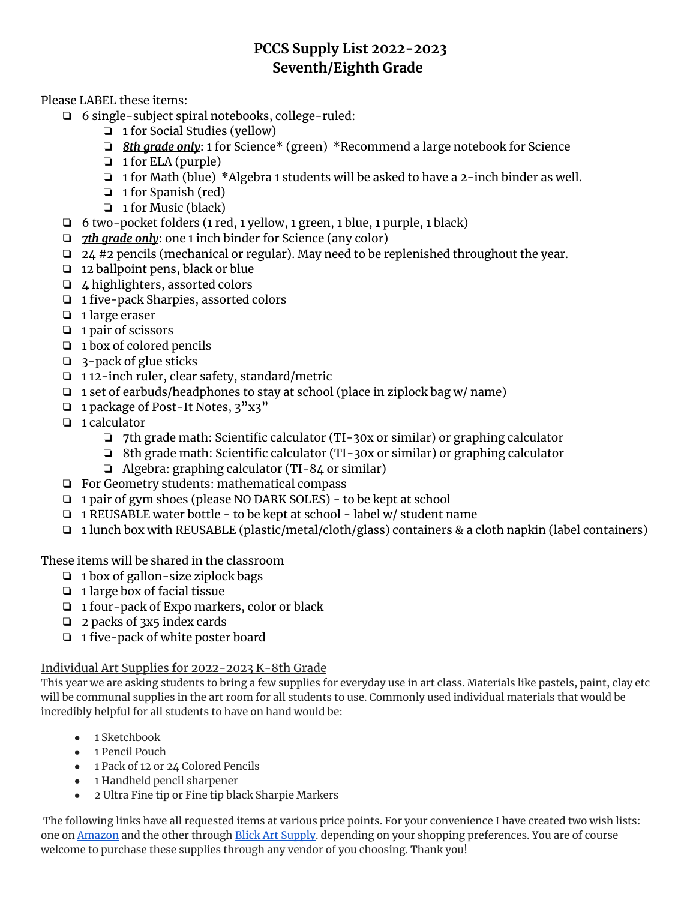## **PCCS Supply List 2022-2023 Seventh/Eighth Grade**

Please LABEL these items:

- ❏ 6 single-subject spiral notebooks, college-ruled:
	- ❏ 1 for Social Studies (yellow)
	- ❏ *8th grade only*: 1 for Science\* (green) \*Recommend a large notebook for Science
	- ❏ 1 for ELA (purple)
	- ❏ 1 for Math (blue) \*Algebra 1 students will be asked to have a 2-inch binder as well.
	- ❏ 1 for Spanish (red)
	- ❏ 1 for Music (black)
- ❏ 6 two-pocket folders (1 red, 1 yellow, 1 green, 1 blue, 1 purple, 1 black)
- ❏ *7th grade only*: one 1 inch binder for Science (any color)
- ❏ 24 #2 pencils (mechanical or regular). May need to be replenished throughout the year.
- ❏ 12 ballpoint pens, black or blue
- ❏ 4 highlighters, assorted colors
- ❏ 1 five-pack Sharpies, assorted colors
- ❏ 1 large eraser
- ❏ 1 pair of scissors
- ❏ 1 box of colored pencils
- ❏ 3-pack of glue sticks
- ❏ 1 12-inch ruler, clear safety, standard/metric
- ❏ 1 set of earbuds/headphones to stay at school (place in ziplock bag w/ name)
- ❏ 1 package of Post-It Notes, 3"x3"
- ❏ 1 calculator
	- ❏ 7th grade math: Scientific calculator (TI-30x or similar) or graphing calculator
	- ❏ 8th grade math: Scientific calculator (TI-30x or similar) or graphing calculator
	- ❏ Algebra: graphing calculator (TI-84 or similar)
- ❏ For Geometry students: mathematical compass
- ❏ 1 pair of gym shoes (please NO DARK SOLES) to be kept at school
- ❏ 1 REUSABLE water bottle to be kept at school label w/ student name
- ❏ 1 lunch box with REUSABLE (plastic/metal/cloth/glass) containers & a cloth napkin (label containers)

These items will be shared in the classroom

- ❏ 1 box of gallon-size ziplock bags
- ❏ 1 large box of facial tissue
- ❏ 1 four-pack of Expo markers, color or black
- ❏ 2 packs of 3x5 index cards
- ❏ 1 five-pack of white poster board

## Individual Art Supplies for 2022-2023 K-8th Grade

This year we are asking students to bring a few supplies for everyday use in art class. Materials like pastels, paint, clay etc will be communal supplies in the art room for all students to use. Commonly used individual materials that would be incredibly helpful for all students to have on hand would be:

- 1 Sketchbook
- 1 Pencil Pouch
- 1 Pack of 12 or 24 Colored Pencils
- 1 Handheld pencil sharpener
- 2 Ultra Fine tip or Fine tip black Sharpie Markers

The following links have all requested items at various price points. For your convenience I have created two wish lists: one on **[Amazon](https://www.amazon.com/hz/wishlist/ls/2J3IENHL7LVVC?ref_=wl_share)** and the other through Blick Art [Supply.](https://www.dickblick.com/myaccount/wishlist/RRFHK4U1L31VB/) depending on your shopping preferences. You are of course welcome to purchase these supplies through any vendor of you choosing. Thank you!